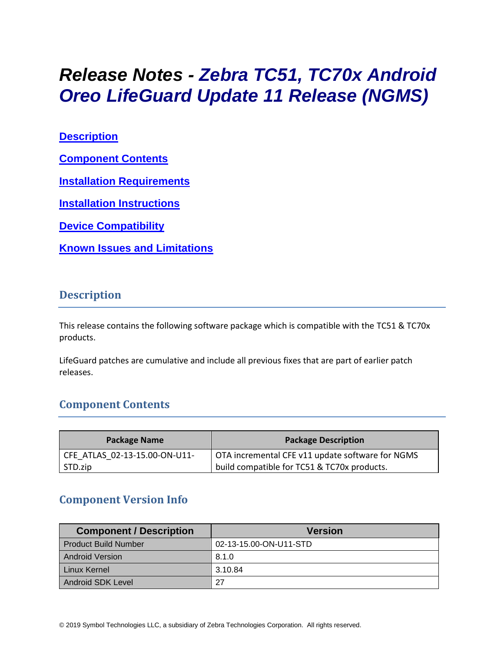# *Release Notes - Zebra TC51, TC70x Android Oreo LifeGuard Update 11 Release (NGMS)*

**[Description](#page-0-0)**

**[Component Contents](#page-0-1)**

**[Installation Requirements](#page-2-0)**

**[Installation Instructions](#page-2-1)**

**[Device Compatibility](#page-4-0)**

**Known [Issues and Limitations](#page-4-1)**

#### <span id="page-0-0"></span>**Description**

This release contains the following software package which is compatible with the TC51 & TC70x products.

<span id="page-0-1"></span>LifeGuard patches are cumulative and include all previous fixes that are part of earlier patch releases.

## **Component Contents**

| Package Name                  | <b>Package Description</b>                       |
|-------------------------------|--------------------------------------------------|
| CFE ATLAS 02-13-15.00-ON-U11- | OTA incremental CFE v11 update software for NGMS |
| STD.zip                       | build compatible for TC51 & TC70x products.      |

## **Component Version Info**

| <b>Component / Description</b> | <b>Version</b>         |
|--------------------------------|------------------------|
| <b>Product Build Number</b>    | 02-13-15.00-ON-U11-STD |
| <b>Android Version</b>         | 8.1.0                  |
| Linux Kernel                   | 3.10.84                |
| Android SDK Level              | 27                     |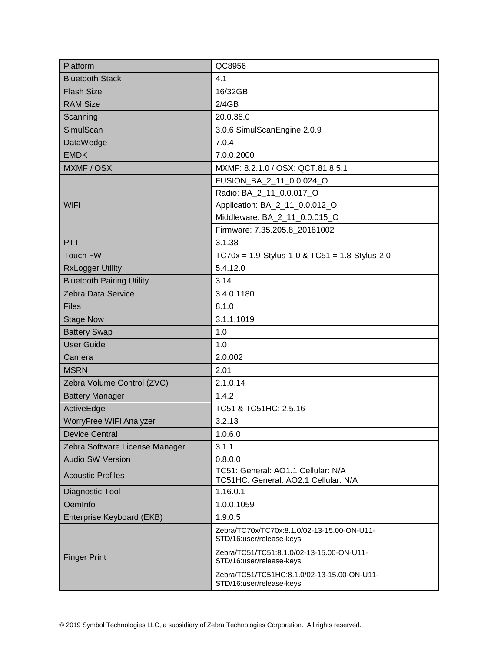| Platform                         | QC8956                                                                     |  |
|----------------------------------|----------------------------------------------------------------------------|--|
| <b>Bluetooth Stack</b>           | 4.1                                                                        |  |
| <b>Flash Size</b>                | 16/32GB                                                                    |  |
| <b>RAM Size</b>                  | 2/4GB                                                                      |  |
| Scanning                         | 20.0.38.0                                                                  |  |
| SimulScan                        | 3.0.6 SimulScanEngine 2.0.9                                                |  |
| DataWedge                        | 7.0.4                                                                      |  |
| <b>EMDK</b>                      | 7.0.0.2000                                                                 |  |
| MXMF / OSX                       | MXMF: 8.2.1.0 / OSX: QCT.81.8.5.1                                          |  |
|                                  | FUSION_BA_2_11_0.0.024_O                                                   |  |
|                                  | Radio: BA_2_11_0.0.017_O                                                   |  |
| WiFi                             | Application: BA_2_11_0.0.012_O                                             |  |
|                                  | Middleware: BA_2_11_0.0.015_O                                              |  |
|                                  | Firmware: 7.35.205.8_20181002                                              |  |
| <b>PTT</b>                       | 3.1.38                                                                     |  |
| Touch FW                         | $TC70x = 1.9-Stylus-1-0 & TC51 = 1.8-Stylus-2.0$                           |  |
| <b>RxLogger Utility</b>          | 5.4.12.0                                                                   |  |
| <b>Bluetooth Pairing Utility</b> | 3.14                                                                       |  |
| Zebra Data Service               | 3.4.0.1180                                                                 |  |
| <b>Files</b>                     | 8.1.0                                                                      |  |
| <b>Stage Now</b>                 | 3.1.1.1019                                                                 |  |
| <b>Battery Swap</b>              | 1.0                                                                        |  |
| <b>User Guide</b>                | 1.0                                                                        |  |
| Camera                           | 2.0.002                                                                    |  |
| <b>MSRN</b>                      | 2.01                                                                       |  |
| Zebra Volume Control (ZVC)       | 2.1.0.14                                                                   |  |
| <b>Battery Manager</b>           | 1.4.2                                                                      |  |
| ActiveEdge                       | TC51 & TC51HC: 2.5.16                                                      |  |
| WorryFree WiFi Analyzer          | 3.2.13                                                                     |  |
| <b>Device Central</b>            | 1.0.6.0                                                                    |  |
| Zebra Software License Manager   | 3.1.1                                                                      |  |
| <b>Audio SW Version</b>          | 0.8.0.0                                                                    |  |
| <b>Acoustic Profiles</b>         | TC51: General: AO1.1 Cellular: N/A<br>TC51HC: General: AO2.1 Cellular: N/A |  |
| Diagnostic Tool                  | 1.16.0.1                                                                   |  |
| OemInfo                          | 1.0.0.1059                                                                 |  |
| Enterprise Keyboard (EKB)        | 1.9.0.5                                                                    |  |
| <b>Finger Print</b>              | Zebra/TC70x/TC70x:8.1.0/02-13-15.00-ON-U11-<br>STD/16:user/release-keys    |  |
|                                  | Zebra/TC51/TC51:8.1.0/02-13-15.00-ON-U11-<br>STD/16:user/release-keys      |  |
|                                  | Zebra/TC51/TC51HC:8.1.0/02-13-15.00-ON-U11-<br>STD/16:user/release-keys    |  |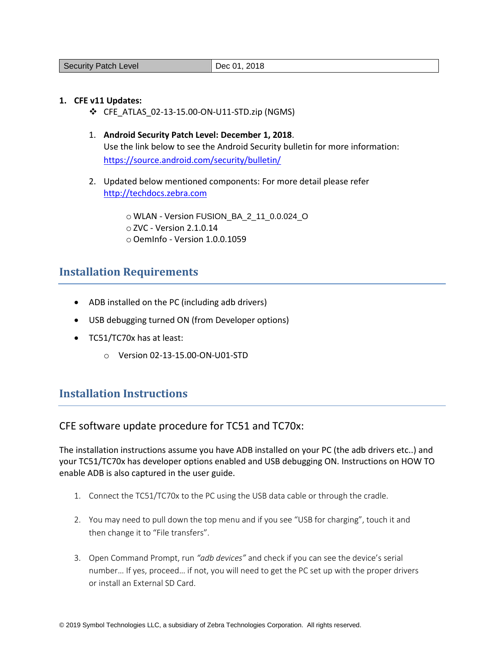#### **1. CFE v11 Updates:**

- ❖ CFE\_ATLAS\_02-13-15.00-ON-U11-STD.zip (NGMS)
- 1. **Android Security Patch Level: December 1, 2018**. Use the link below to see the Android Security bulletin for more information: <https://source.android.com/security/bulletin/>
- 2. Updated below mentioned components: For more detail please refer [http://techdocs.zebra.com](http://techdocs.zebra.com/)

o WLAN - Version FUSION\_BA\_2\_11\_0.0.024\_O o ZVC - Version 2.1.0.14 o OemInfo - Version 1.0.0.1059

## <span id="page-2-0"></span>**Installation Requirements**

- ADB installed on the PC (including adb drivers)
- USB debugging turned ON (from Developer options)
- TC51/TC70x has at least:
	- o Version 02-13-15.00-ON-U01-STD

## <span id="page-2-1"></span>**Installation Instructions**

CFE software update procedure for TC51 and TC70x:

The installation instructions assume you have ADB installed on your PC (the adb drivers etc..) and your TC51/TC70x has developer options enabled and USB debugging ON. Instructions on HOW TO enable ADB is also captured in the user guide.

- 1. Connect the TC51/TC70x to the PC using the USB data cable or through the cradle.
- 2. You may need to pull down the top menu and if you see "USB for charging", touch it and then change it to "File transfers".
- 3. Open Command Prompt, run *"adb devices"* and check if you can see the device's serial number… If yes, proceed… if not, you will need to get the PC set up with the proper drivers or install an External SD Card.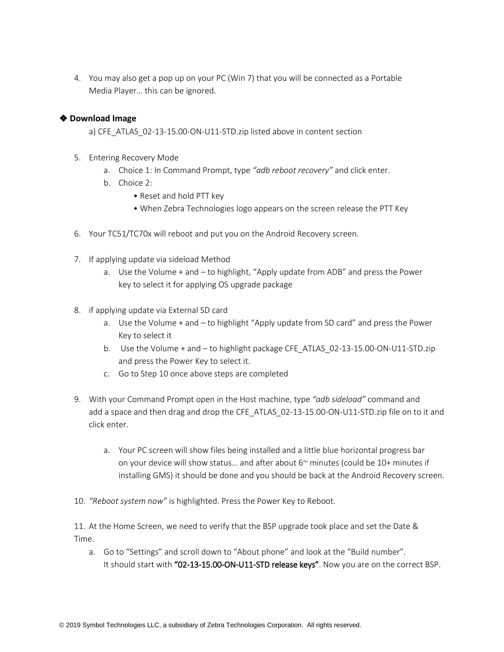4. You may also get a pop up on your PC (Win 7) that you will be connected as a Portable Media Player… this can be ignored.

#### ❖ **Download Image**

a) CFE\_ATLAS\_02-13-15.00-ON-U11-STD.zip listed above in content section

- 5. Entering Recovery Mode
	- a. Choice 1: In Command Prompt, type *"adb reboot recovery"* and click enter.
	- b. Choice 2:
		- Reset and hold PTT key
		- When Zebra Technologies logo appears on the screen release the PTT Key
- 6. Your TC51/TC70x will reboot and put you on the Android Recovery screen.
- 7. If applying update via sideload Method
	- a. Use the Volume + and to highlight, "Apply update from ADB" and press the Power key to select it for applying OS upgrade package
- 8. if applying update via External SD card
	- a. Use the Volume + and to highlight "Apply update from SD card" and press the Power Key to select it
	- b. Use the Volume + and to highlight package CFE\_ATLAS\_02-13-15.00-ON-U11-STD.zip and press the Power Key to select it.
	- c. Go to Step 10 once above steps are completed
- 9. With your Command Prompt open in the Host machine, type *"adb sideload"* command and add a space and then drag and drop the CFE\_ATLAS\_02-13-15.00-ON-U11-STD.zip file on to it and click enter.
	- a. Your PC screen will show files being installed and a little blue horizontal progress bar on your device will show status... and after about  $6<sup>th</sup>$  minutes (could be 10+ minutes if installing GMS) it should be done and you should be back at the Android Recovery screen.
- 10. *"Reboot system now"* is highlighted. Press the Power Key to Reboot.

11. At the Home Screen, we need to verify that the BSP upgrade took place and set the Date & Time.

a. Go to "Settings" and scroll down to "About phone" and look at the "Build number". It should start with "02-13-15.00-ON-U11-STD release keys". Now you are on the correct BSP.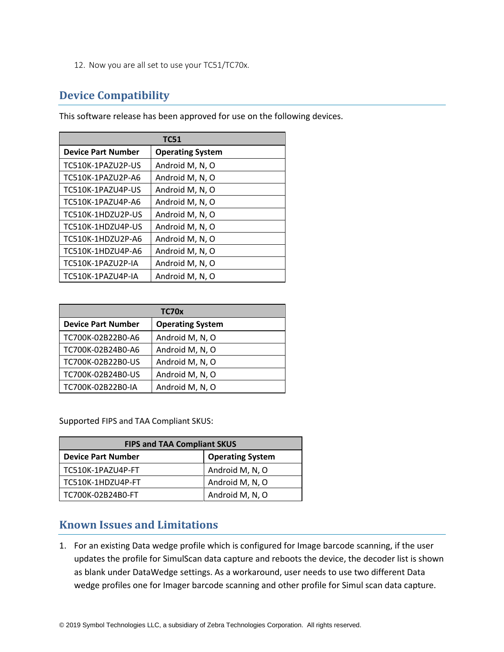12. Now you are all set to use your TC51/TC70x.

## <span id="page-4-0"></span>**Device Compatibility**

This software release has been approved for use on the following devices.

| <b>TC51</b>               |                         |  |
|---------------------------|-------------------------|--|
| <b>Device Part Number</b> | <b>Operating System</b> |  |
| TC510K-1PAZU2P-US         | Android M, N, O         |  |
| TC510K-1PAZU2P-A6         | Android M, N, O         |  |
| TC510K-1PAZU4P-US         | Android M, N, O         |  |
| TC510K-1PAZU4P-A6         | Android M, N, O         |  |
| TC510K-1HDZU2P-US         | Android M, N, O         |  |
| TC510K-1HDZU4P-US         | Android M, N, O         |  |
| TC510K-1HDZU2P-A6         | Android M, N, O         |  |
| TC510K-1HDZU4P-A6         | Android M, N, O         |  |
| TC510K-1PAZU2P-IA         | Android M, N, O         |  |
| TC510K-1PAZU4P-IA         | Android M, N, O         |  |

| TC70x                     |                         |  |
|---------------------------|-------------------------|--|
| <b>Device Part Number</b> | <b>Operating System</b> |  |
| TC700K-02B22B0-A6         | Android M, N, O         |  |
| TC700K-02B24B0-A6         | Android M, N, O         |  |
| TC700K-02B22B0-US         | Android M, N, O         |  |
| TC700K-02B24B0-US         | Android M, N, O         |  |
| TC700K-02B22B0-IA         | Android M, N, O         |  |

Supported FIPS and TAA Compliant SKUS:

| <b>FIPS and TAA Compliant SKUS</b> |                         |  |  |
|------------------------------------|-------------------------|--|--|
| <b>Device Part Number</b>          | <b>Operating System</b> |  |  |
| TC510K-1PAZU4P-FT                  | Android M, N, O         |  |  |
| TC510K-1HDZU4P-FT                  | Android M, N, O         |  |  |
| TC700K-02B24B0-FT                  | Android M, N, O         |  |  |

## <span id="page-4-1"></span>**Known Issues and Limitations**

1. For an existing Data wedge profile which is configured for Image barcode scanning, if the user updates the profile for SimulScan data capture and reboots the device, the decoder list is shown as blank under DataWedge settings. As a workaround, user needs to use two different Data wedge profiles one for Imager barcode scanning and other profile for Simul scan data capture.